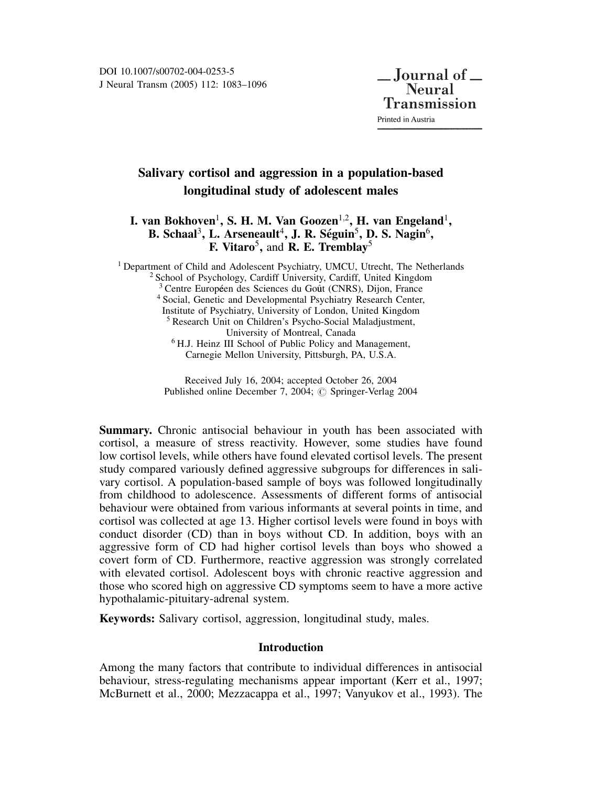# Salivary cortisol and aggression in a population-based longitudinal study of adolescent males

# I. van Bokhoven<sup>1</sup>, S. H. M. Van Goozen<sup>1,2</sup>, H. van Engeland<sup>1</sup>, B. Schaal<sup>3</sup>, L. Arseneault<sup>4</sup>, J. R. Séguin<sup>5</sup>, D. S. Nagin<sup>6</sup>, F. Vitaro<sup>5</sup>, and **R. E. Tremblay**<sup>5</sup>

<sup>1</sup> Department of Child and Adolescent Psychiatry, UMCU, Utrecht, The Netherlands <sup>2</sup> School of Psychology, Cardiff University, Cardiff, United Kingdom <sup>3</sup> Centre Européen des Sciences du Goût (CNRS), Dijon, France <sup>4</sup> Social, Genetic and Developmental Psychiatry Research Center, Institute of Psychiatry, University of London, United Kingdom <sup>5</sup> Research Unit on Children's Psycho-Social Maladjustment, University of Montreal, Canada <sup>6</sup> H.J. Heinz III School of Public Policy and Management, Carnegie Mellon University, Pittsburgh, PA, U.S.A.

> Received July 16, 2004; accepted October 26, 2004 Published online December 7, 2004; © Springer-Verlag 2004

Summary. Chronic antisocial behaviour in youth has been associated with cortisol, a measure of stress reactivity. However, some studies have found low cortisol levels, while others have found elevated cortisol levels. The present study compared variously defined aggressive subgroups for differences in salivary cortisol. A population-based sample of boys was followed longitudinally from childhood to adolescence. Assessments of different forms of antisocial behaviour were obtained from various informants at several points in time, and cortisol was collected at age 13. Higher cortisol levels were found in boys with conduct disorder (CD) than in boys without CD. In addition, boys with an aggressive form of CD had higher cortisol levels than boys who showed a covert form of CD. Furthermore, reactive aggression was strongly correlated with elevated cortisol. Adolescent boys with chronic reactive aggression and those who scored high on aggressive CD symptoms seem to have a more active hypothalamic-pituitary-adrenal system.

Keywords: Salivary cortisol, aggression, longitudinal study, males.

## Introduction

Among the many factors that contribute to individual differences in antisocial behaviour, stress-regulating mechanisms appear important (Kerr et al., 1997; McBurnett et al., 2000; Mezzacappa et al., 1997; Vanyukov et al., 1993). The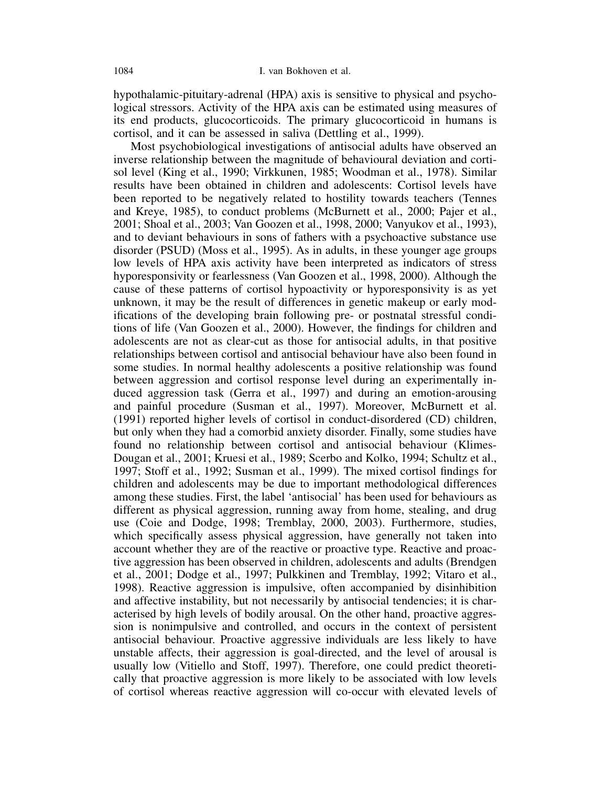hypothalamic-pituitary-adrenal (HPA) axis is sensitive to physical and psychological stressors. Activity of the HPA axis can be estimated using measures of its end products, glucocorticoids. The primary glucocorticoid in humans is cortisol, and it can be assessed in saliva (Dettling et al., 1999).

Most psychobiological investigations of antisocial adults have observed an inverse relationship between the magnitude of behavioural deviation and cortisol level (King et al., 1990; Virkkunen, 1985; Woodman et al., 1978). Similar results have been obtained in children and adolescents: Cortisol levels have been reported to be negatively related to hostility towards teachers (Tennes and Kreye, 1985), to conduct problems (McBurnett et al., 2000; Pajer et al., 2001; Shoal et al., 2003; Van Goozen et al., 1998, 2000; Vanyukov et al., 1993), and to deviant behaviours in sons of fathers with a psychoactive substance use disorder (PSUD) (Moss et al., 1995). As in adults, in these younger age groups low levels of HPA axis activity have been interpreted as indicators of stress hyporesponsivity or fearlessness (Van Goozen et al., 1998, 2000). Although the cause of these patterns of cortisol hypoactivity or hyporesponsivity is as yet unknown, it may be the result of differences in genetic makeup or early modifications of the developing brain following pre- or postnatal stressful conditions of life (Van Goozen et al., 2000). However, the findings for children and adolescents are not as clear-cut as those for antisocial adults, in that positive relationships between cortisol and antisocial behaviour have also been found in some studies. In normal healthy adolescents a positive relationship was found between aggression and cortisol response level during an experimentally induced aggression task (Gerra et al., 1997) and during an emotion-arousing and painful procedure (Susman et al., 1997). Moreover, McBurnett et al. (1991) reported higher levels of cortisol in conduct-disordered (CD) children, but only when they had a comorbid anxiety disorder. Finally, some studies have found no relationship between cortisol and antisocial behaviour (Klimes-Dougan et al., 2001; Kruesi et al., 1989; Scerbo and Kolko, 1994; Schultz et al., 1997; Stoff et al., 1992; Susman et al., 1999). The mixed cortisol findings for children and adolescents may be due to important methodological differences among these studies. First, the label 'antisocial' has been used for behaviours as different as physical aggression, running away from home, stealing, and drug use (Coie and Dodge, 1998; Tremblay, 2000, 2003). Furthermore, studies, which specifically assess physical aggression, have generally not taken into account whether they are of the reactive or proactive type. Reactive and proactive aggression has been observed in children, adolescents and adults (Brendgen et al., 2001; Dodge et al., 1997; Pulkkinen and Tremblay, 1992; Vitaro et al., 1998). Reactive aggression is impulsive, often accompanied by disinhibition and affective instability, but not necessarily by antisocial tendencies; it is characterised by high levels of bodily arousal. On the other hand, proactive aggression is nonimpulsive and controlled, and occurs in the context of persistent antisocial behaviour. Proactive aggressive individuals are less likely to have unstable affects, their aggression is goal-directed, and the level of arousal is usually low (Vitiello and Stoff, 1997). Therefore, one could predict theoretically that proactive aggression is more likely to be associated with low levels of cortisol whereas reactive aggression will co-occur with elevated levels of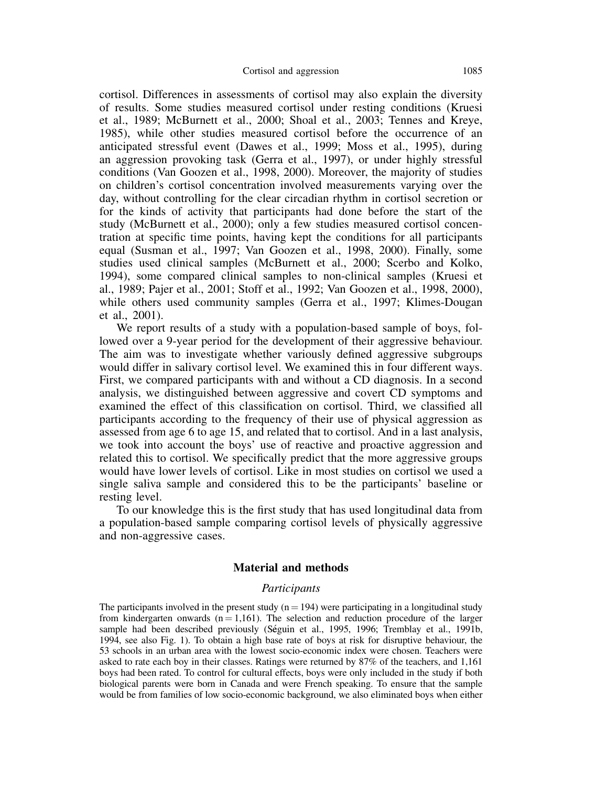cortisol. Differences in assessments of cortisol may also explain the diversity of results. Some studies measured cortisol under resting conditions (Kruesi et al., 1989; McBurnett et al., 2000; Shoal et al., 2003; Tennes and Kreye, 1985), while other studies measured cortisol before the occurrence of an anticipated stressful event (Dawes et al., 1999; Moss et al., 1995), during an aggression provoking task (Gerra et al., 1997), or under highly stressful conditions (Van Goozen et al., 1998, 2000). Moreover, the majority of studies on children's cortisol concentration involved measurements varying over the day, without controlling for the clear circadian rhythm in cortisol secretion or for the kinds of activity that participants had done before the start of the study (McBurnett et al., 2000); only a few studies measured cortisol concentration at specific time points, having kept the conditions for all participants equal (Susman et al., 1997; Van Goozen et al., 1998, 2000). Finally, some studies used clinical samples (McBurnett et al., 2000; Scerbo and Kolko, 1994), some compared clinical samples to non-clinical samples (Kruesi et al., 1989; Pajer et al., 2001; Stoff et al., 1992; Van Goozen et al., 1998, 2000), while others used community samples (Gerra et al., 1997; Klimes-Dougan et al., 2001).

We report results of a study with a population-based sample of boys, followed over a 9-year period for the development of their aggressive behaviour. The aim was to investigate whether variously defined aggressive subgroups would differ in salivary cortisol level. We examined this in four different ways. First, we compared participants with and without a CD diagnosis. In a second analysis, we distinguished between aggressive and covert CD symptoms and examined the effect of this classification on cortisol. Third, we classified all participants according to the frequency of their use of physical aggression as assessed from age 6 to age 15, and related that to cortisol. And in a last analysis, we took into account the boys' use of reactive and proactive aggression and related this to cortisol. We specifically predict that the more aggressive groups would have lower levels of cortisol. Like in most studies on cortisol we used a single saliva sample and considered this to be the participants' baseline or resting level.

To our knowledge this is the first study that has used longitudinal data from a population-based sample comparing cortisol levels of physically aggressive and non-aggressive cases.

### Material and methods

### Participants

The participants involved in the present study  $(n = 194)$  were participating in a longitudinal study from kindergarten onwards  $(n = 1,161)$ . The selection and reduction procedure of the larger sample had been described previously (Seguin et al., 1995, 1996; Tremblay et al., 1991b, 1994, see also Fig. 1). To obtain a high base rate of boys at risk for disruptive behaviour, the 53 schools in an urban area with the lowest socio-economic index were chosen. Teachers were asked to rate each boy in their classes. Ratings were returned by 87% of the teachers, and 1,161 boys had been rated. To control for cultural effects, boys were only included in the study if both biological parents were born in Canada and were French speaking. To ensure that the sample would be from families of low socio-economic background, we also eliminated boys when either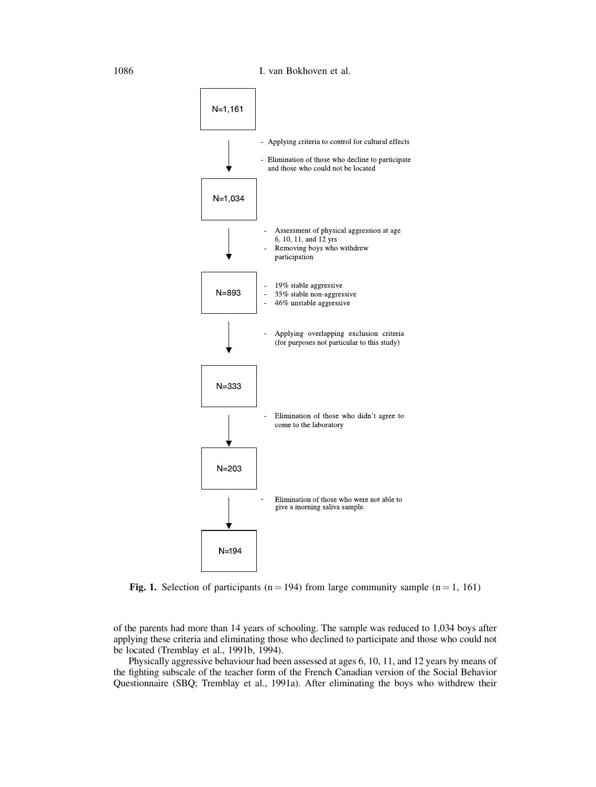

Fig. 1. Selection of participants ( $n = 194$ ) from large community sample ( $n = 1, 161$ )

of the parents had more than 14 years of schooling. The sample was reduced to 1,034 boys after applying these criteria and eliminating those who declined to participate and those who could not be located (Tremblay et al., 1991b, 1994).

Physically aggressive behaviour had been assessed at ages 6, 10, 11, and 12 years by means of the fighting subscale of the teacher form of the French Canadian version of the Social Behavior Questionnaire (SBQ; Tremblay et al., 1991a). After eliminating the boys who withdrew their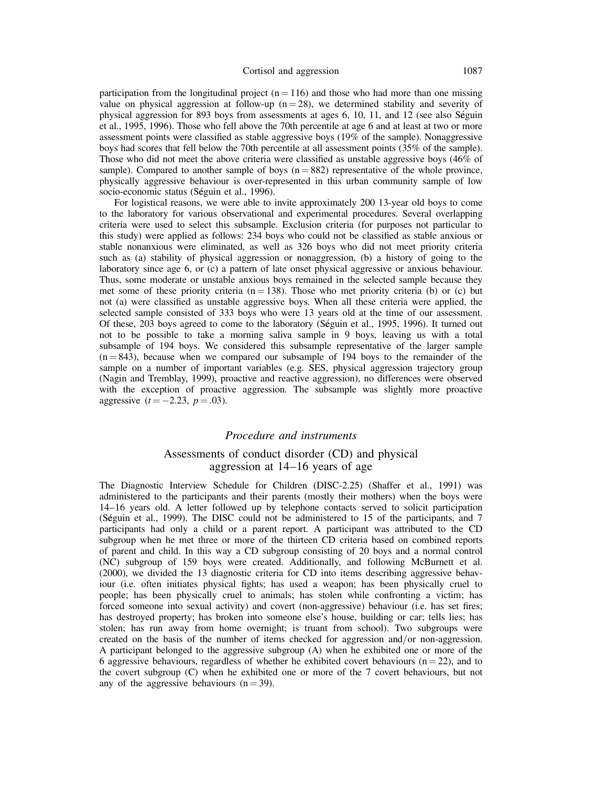### Cortisol and aggression 1087

participation from the longitudinal project  $(n = 116)$  and those who had more than one missing value on physical aggression at follow-up  $(n = 28)$ , we determined stability and severity of physical aggression for 893 boys from assessments at ages 6, 10, 11, and 12 (see also Seguin et al., 1995, 1996). Those who fell above the 70th percentile at age 6 and at least at two or more assessment points were classified as stable aggressive boys (19% of the sample). Nonaggressive boys had scores that fell below the 70th percentile at all assessment points (35% of the sample). Those who did not meet the above criteria were classified as unstable aggressive boys (46% of sample). Compared to another sample of boys  $(n = 882)$  representative of the whole province, physically aggressive behaviour is over-represented in this urban community sample of low socio-economic status (Séguin et al., 1996).

For logistical reasons, we were able to invite approximately 200 13-year old boys to come to the laboratory for various observational and experimental procedures. Several overlapping criteria were used to select this subsample. Exclusion criteria (for purposes not particular to this study) were applied as follows: 234 boys who could not be classified as stable anxious or stable nonanxious were eliminated, as well as 326 boys who did not meet priority criteria such as (a) stability of physical aggression or nonaggression, (b) a history of going to the laboratory since age 6, or (c) a pattern of late onset physical aggressive or anxious behaviour. Thus, some moderate or unstable anxious boys remained in the selected sample because they met some of these priority criteria ( $n = 138$ ). Those who met priority criteria (b) or (c) but not (a) were classified as unstable aggressive boys. When all these criteria were applied, the selected sample consisted of 333 boys who were 13 years old at the time of our assessment. Of these, 203 boys agreed to come to the laboratory (Seguin et al., 1995, 1996). It turned out not to be possible to take a morning saliva sample in 9 boys, leaving us with a total subsample of 194 boys. We considered this subsample representative of the larger sample  $(n = 843)$ , because when we compared our subsample of 194 boys to the remainder of the sample on a number of important variables (e.g. SES, physical aggression trajectory group (Nagin and Tremblay, 1999), proactive and reactive aggression), no differences were observed with the exception of proactive aggression. The subsample was slightly more proactive aggressive  $(t = -2.23, p = .03)$ .

### Procedure and instruments

### Assessments of conduct disorder (CD) and physical aggression at 14–16 years of age

The Diagnostic Interview Schedule for Children (DISC-2.25) (Shaffer et al., 1991) was administered to the participants and their parents (mostly their mothers) when the boys were 14–16 years old. A letter followed up by telephone contacts served to solicit participation (Seguin et al., 1999). The DISC could not be administered to 15 of the participants, and 7 participants had only a child or a parent report. A participant was attributed to the CD subgroup when he met three or more of the thirteen CD criteria based on combined reports of parent and child. In this way a CD subgroup consisting of 20 boys and a normal control (NC) subgroup of 159 boys were created. Additionally, and following McBurnett et al. (2000), we divided the 13 diagnostic criteria for CD into items describing aggressive behaviour (i.e. often initiates physical fights; has used a weapon; has been physically cruel to people; has been physically cruel to animals; has stolen while confronting a victim; has forced someone into sexual activity) and covert (non-aggressive) behaviour (i.e. has set fires; has destroyed property; has broken into someone else's house, building or car; tells lies; has stolen; has run away from home overnight; is truant from school). Two subgroups were created on the basis of the number of items checked for aggression and/or non-aggression. A participant belonged to the aggressive subgroup (A) when he exhibited one or more of the 6 aggressive behaviours, regardless of whether he exhibited covert behaviours ( $n = 22$ ), and to the covert subgroup (C) when he exhibited one or more of the 7 covert behaviours, but not any of the aggressive behaviours  $(n = 39)$ .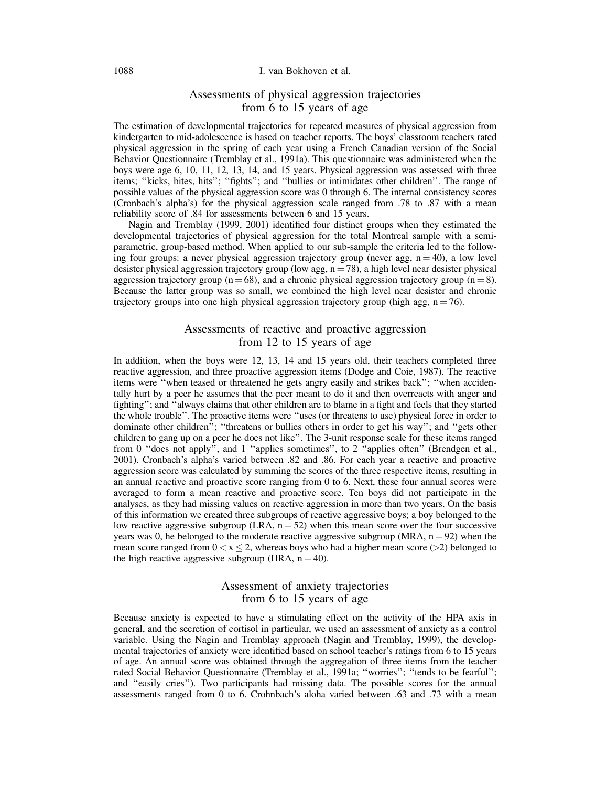### 1088 I. van Bokhoven et al.

### Assessments of physical aggression trajectories from 6 to 15 years of age

The estimation of developmental trajectories for repeated measures of physical aggression from kindergarten to mid-adolescence is based on teacher reports. The boys' classroom teachers rated physical aggression in the spring of each year using a French Canadian version of the Social Behavior Questionnaire (Tremblay et al., 1991a). This questionnaire was administered when the boys were age 6, 10, 11, 12, 13, 14, and 15 years. Physical aggression was assessed with three items; ''kicks, bites, hits''; ''fights''; and ''bullies or intimidates other children''. The range of possible values of the physical aggression score was 0 through 6. The internal consistency scores (Cronbach's alpha's) for the physical aggression scale ranged from .78 to .87 with a mean reliability score of .84 for assessments between 6 and 15 years.

Nagin and Tremblay (1999, 2001) identified four distinct groups when they estimated the developmental trajectories of physical aggression for the total Montreal sample with a semiparametric, group-based method. When applied to our sub-sample the criteria led to the following four groups: a never physical aggression trajectory group (never agg,  $n = 40$ ), a low level desister physical aggression trajectory group (low agg,  $n = 78$ ), a high level near desister physical aggression trajectory group ( $n = 68$ ), and a chronic physical aggression trajectory group ( $n = 8$ ). Because the latter group was so small, we combined the high level near desister and chronic trajectory groups into one high physical aggression trajectory group (high agg,  $n = 76$ ).

### Assessments of reactive and proactive aggression from 12 to 15 years of age

In addition, when the boys were 12, 13, 14 and 15 years old, their teachers completed three reactive aggression, and three proactive aggression items (Dodge and Coie, 1987). The reactive items were ''when teased or threatened he gets angry easily and strikes back''; ''when accidentally hurt by a peer he assumes that the peer meant to do it and then overreacts with anger and fighting"; and "always claims that other children are to blame in a fight and feels that they started the whole trouble''. The proactive items were ''uses (or threatens to use) physical force in order to dominate other children<sup>7</sup>; "threatens or bullies others in order to get his way"; and "gets other children to gang up on a peer he does not like''. The 3-unit response scale for these items ranged from 0 ''does not apply'', and 1 ''applies sometimes'', to 2 ''applies often'' (Brendgen et al., 2001). Cronbach's alpha's varied between .82 and .86. For each year a reactive and proactive aggression score was calculated by summing the scores of the three respective items, resulting in an annual reactive and proactive score ranging from 0 to 6. Next, these four annual scores were averaged to form a mean reactive and proactive score. Ten boys did not participate in the analyses, as they had missing values on reactive aggression in more than two years. On the basis of this information we created three subgroups of reactive aggressive boys; a boy belonged to the low reactive aggressive subgroup (LRA,  $n = 52$ ) when this mean score over the four successive years was 0, he belonged to the moderate reactive aggressive subgroup (MRA,  $n = 92$ ) when the mean score ranged from  $0 < x \le 2$ , whereas boys who had a higher mean score (>2) belonged to the high reactive aggressive subgroup (HRA,  $n = 40$ ).

### Assessment of anxiety trajectories from 6 to 15 years of age

Because anxiety is expected to have a stimulating effect on the activity of the HPA axis in general, and the secretion of cortisol in particular, we used an assessment of anxiety as a control variable. Using the Nagin and Tremblay approach (Nagin and Tremblay, 1999), the developmental trajectories of anxiety were identified based on school teacher's ratings from 6 to 15 years of age. An annual score was obtained through the aggregation of three items from the teacher rated Social Behavior Questionnaire (Tremblay et al., 1991a; ''worries''; ''tends to be fearful''; and ''easily cries''). Two participants had missing data. The possible scores for the annual assessments ranged from 0 to 6. Crohnbach's aloha varied between .63 and .73 with a mean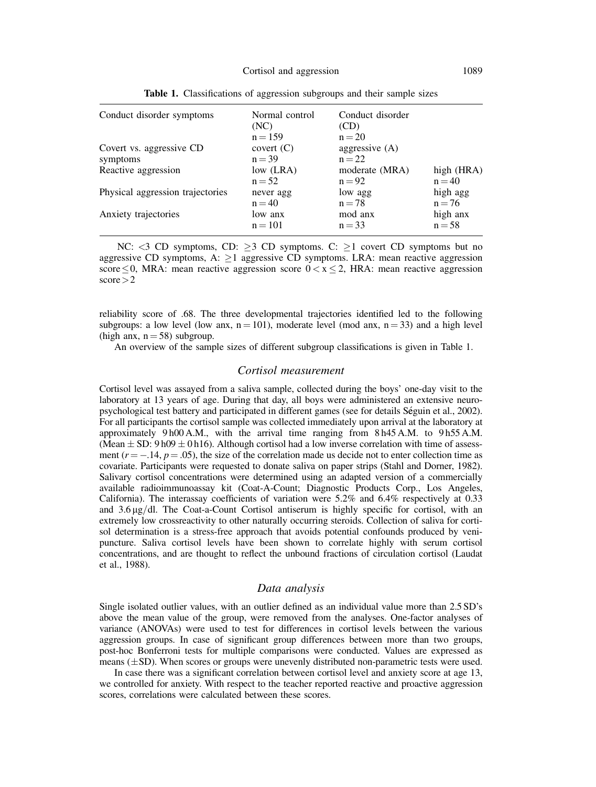| Conduct disorder symptoms        | Normal control<br>(NC) | Conduct disorder<br>(CD) |            |
|----------------------------------|------------------------|--------------------------|------------|
|                                  | $n = 159$              | $n = 20$                 |            |
| Covert vs. aggressive CD         | covert $(C)$           | aggressive $(A)$         |            |
| symptoms                         | $n = 39$               | $n = 22$                 |            |
| Reactive aggression              | low $(LRA)$            | moderate (MRA)           | high (HRA) |
|                                  | $n = 52$               | $n = 92$                 | $n = 40$   |
| Physical aggression trajectories | never agg              | low agg                  | high agg   |
|                                  | $n = 40$               | $n = 78$                 | $n = 76$   |
| Anxiety trajectories             | low anx                | mod anx                  | high anx   |
|                                  | $n = 101$              | $n = 33$                 | $n = 58$   |

Table 1. Classifications of aggression subgroups and their sample sizes

NC:  $\langle 3 \text{ CD} \text{ symptoms}, \text{ CD} : 23 \text{ CD symptoms}. \text{ C: } 21 \text{ cover CD symptoms but no}$ aggressive CD symptoms, A:  $\geq$  1 aggressive CD symptoms. LRA: mean reactive aggression score  $\leq$  0, MRA: mean reactive aggression score  $0 < x \leq 2$ , HRA: mean reactive aggression  $score > 2$ 

reliability score of .68. The three developmental trajectories identified led to the following subgroups: a low level (low anx,  $n = 101$ ), moderate level (mod anx,  $n = 33$ ) and a high level (high anx,  $n = 58$ ) subgroup.

An overview of the sample sizes of different subgroup classifications is given in Table 1.

### Cortisol measurement

Cortisol level was assayed from a saliva sample, collected during the boys' one-day visit to the laboratory at 13 years of age. During that day, all boys were administered an extensive neuropsychological test battery and participated in different games (see for details Seguin et al., 2002). For all participants the cortisol sample was collected immediately upon arrival at the laboratory at approximately 9 h00 A.M., with the arrival time ranging from 8 h45 A.M. to 9 h55 A.M. (Mean  $\pm$  SD: 9 h09  $\pm$  0 h16). Although cortisol had a low inverse correlation with time of assessment ( $r = -.14$ ,  $p = .05$ ), the size of the correlation made us decide not to enter collection time as covariate. Participants were requested to donate saliva on paper strips (Stahl and Dorner, 1982). Salivary cortisol concentrations were determined using an adapted version of a commercially available radioimmunoassay kit (Coat-A-Count; Diagnostic Products Corp., Los Angeles, California). The interassay coefficients of variation were 5.2% and 6.4% respectively at 0.33 and  $3.6 \mu g/d$ . The Coat-a-Count Cortisol antiserum is highly specific for cortisol, with an extremely low crossreactivity to other naturally occurring steroids. Collection of saliva for cortisol determination is a stress-free approach that avoids potential confounds produced by venipuncture. Saliva cortisol levels have been shown to correlate highly with serum cortisol concentrations, and are thought to reflect the unbound fractions of circulation cortisol (Laudat et al., 1988).

#### Data analysis

Single isolated outlier values, with an outlier defined as an individual value more than 2.5 SD's above the mean value of the group, were removed from the analyses. One-factor analyses of variance (ANOVAs) were used to test for differences in cortisol levels between the various aggression groups. In case of significant group differences between more than two groups, post-hoc Bonferroni tests for multiple comparisons were conducted. Values are expressed as means  $(\pm SD)$ . When scores or groups were unevenly distributed non-parametric tests were used.

In case there was a significant correlation between cortisol level and anxiety score at age 13, we controlled for anxiety. With respect to the teacher reported reactive and proactive aggression scores, correlations were calculated between these scores.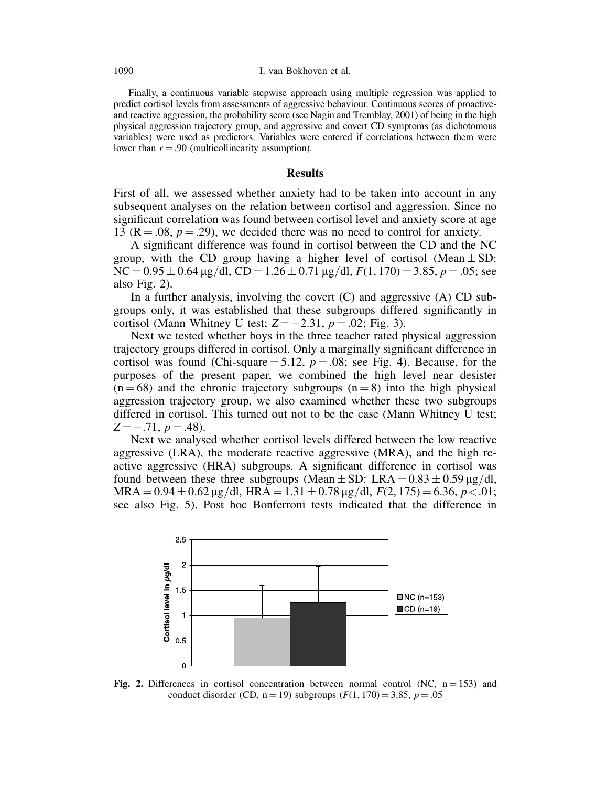Finally, a continuous variable stepwise approach using multiple regression was applied to predict cortisol levels from assessments of aggressive behaviour. Continuous scores of proactiveand reactive aggression, the probability score (see Nagin and Tremblay, 2001) of being in the high physical aggression trajectory group, and aggressive and covert CD symptoms (as dichotomous variables) were used as predictors. Variables were entered if correlations between them were lower than  $r = .90$  (multicollinearity assumption).

### **Results**

First of all, we assessed whether anxiety had to be taken into account in any subsequent analyses on the relation between cortisol and aggression. Since no significant correlation was found between cortisol level and anxiety score at age 13 ( $R = .08$ ,  $p = .29$ ), we decided there was no need to control for anxiety.

A significant difference was found in cortisol between the CD and the NC group, with the CD group having a higher level of cortisol (Mean  $\pm$  SD:  $NC = 0.95 \pm 0.64 \,\mu g/dl$ ,  $CD = 1.26 \pm 0.71 \,\mu g/dl$ ,  $F(1, 170) = 3.85$ ,  $p = .05$ ; see also Fig. 2).

In a further analysis, involving the covert  $(C)$  and aggressive  $(A)$  CD subgroups only, it was established that these subgroups differed significantly in cortisol (Mann Whitney U test;  $Z = -2.31$ ,  $p = .02$ ; Fig. 3).

Next we tested whether boys in the three teacher rated physical aggression trajectory groups differed in cortisol. Only a marginally significant difference in cortisol was found (Chi-square  $= 5.12$ ,  $p = .08$ ; see Fig. 4). Because, for the purposes of the present paper, we combined the high level near desister  $(n = 68)$  and the chronic trajectory subgroups  $(n = 8)$  into the high physical aggression trajectory group, we also examined whether these two subgroups differed in cortisol. This turned out not to be the case (Mann Whitney U test;  $Z = -.71$ ,  $p = .48$ ).

Next we analysed whether cortisol levels differed between the low reactive aggressive (LRA), the moderate reactive aggressive (MRA), and the high reactive aggressive (HRA) subgroups. A significant difference in cortisol was found between these three subgroups (Mean  $\pm$  SD: LRA = 0.83  $\pm$  0.59 µg/dl,  $MRA = 0.94 \pm 0.62 \,\mu g/dl$ ,  $HRA = 1.31 \pm 0.78 \,\mu g/dl$ ,  $F(2, 175) = 6.36$ ,  $p < .01$ ; see also Fig. 5). Post hoc Bonferroni tests indicated that the difference in



Fig. 2. Differences in cortisol concentration between normal control (NC,  $n = 153$ ) and conduct disorder (CD,  $n = 19$ ) subgroups ( $F(1, 170) = 3.85$ ,  $p = .05$ )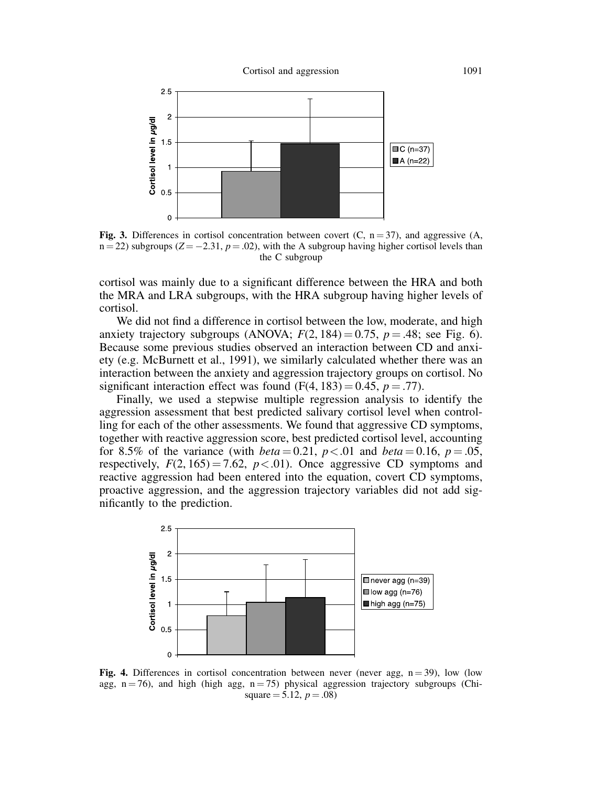

Fig. 3. Differences in cortisol concentration between covert (C,  $n = 37$ ), and aggressive (A,  $n = 22$ ) subgroups (Z = -2.31,  $p = .02$ ), with the A subgroup having higher cortisol levels than the C subgroup

cortisol was mainly due to a significant difference between the HRA and both the MRA and LRA subgroups, with the HRA subgroup having higher levels of cortisol.

We did not find a difference in cortisol between the low, moderate, and high anxiety trajectory subgroups (ANOVA;  $F(2, 184) = 0.75$ ,  $p = .48$ ; see Fig. 6). Because some previous studies observed an interaction between CD and anxiety (e.g. McBurnett et al., 1991), we similarly calculated whether there was an interaction between the anxiety and aggression trajectory groups on cortisol. No significant interaction effect was found  $(F(4, 183) = 0.45, p = .77)$ .

Finally, we used a stepwise multiple regression analysis to identify the aggression assessment that best predicted salivary cortisol level when controlling for each of the other assessments. We found that aggressive CD symptoms, together with reactive aggression score, best predicted cortisol level, accounting for 8.5% of the variance (with *beta* = 0.21,  $p < .01$  and *beta* = 0.16,  $p = .05$ , respectively,  $F(2, 165) = 7.62$ ,  $p < .01$ ). Once aggressive CD symptoms and reactive aggression had been entered into the equation, covert CD symptoms, proactive aggression, and the aggression trajectory variables did not add significantly to the prediction.



Fig. 4. Differences in cortisol concentration between never (never agg,  $n = 39$ ), low (low agg,  $n = 76$ ), and high (high agg,  $n = 75$ ) physical aggression trajectory subgroups (Chisquare  $= 5.12, p = .08$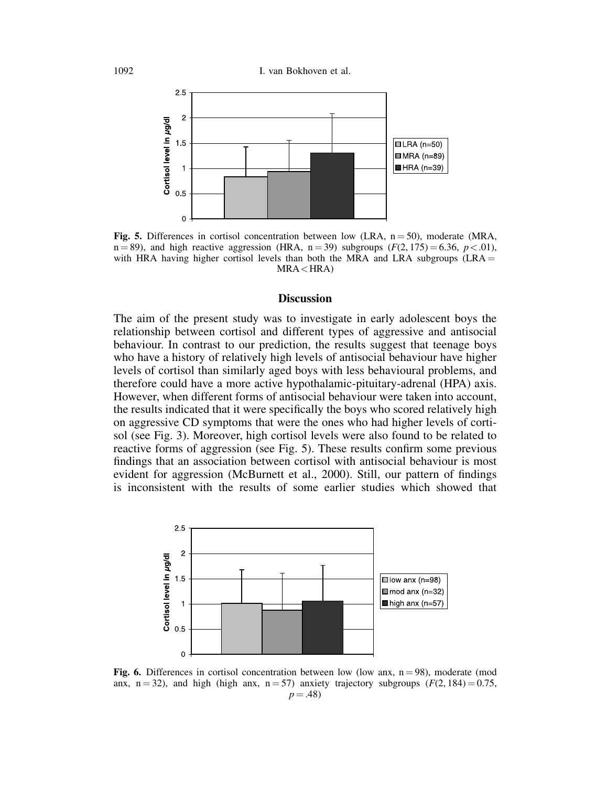

Fig. 5. Differences in cortisol concentration between low (LRA,  $n = 50$ ), moderate (MRA,  $n = 89$ , and high reactive aggression (HRA,  $n = 39$ ) subgroups ( $F(2, 175) = 6.36$ ,  $p < .01$ ), with HRA having higher cortisol levels than both the MRA and LRA subgroups  $(LRA =$  $MRA \leq HRA$ 

### **Discussion**

The aim of the present study was to investigate in early adolescent boys the relationship between cortisol and different types of aggressive and antisocial behaviour. In contrast to our prediction, the results suggest that teenage boys who have a history of relatively high levels of antisocial behaviour have higher levels of cortisol than similarly aged boys with less behavioural problems, and therefore could have a more active hypothalamic-pituitary-adrenal (HPA) axis. However, when different forms of antisocial behaviour were taken into account, the results indicated that it were specifically the boys who scored relatively high on aggressive CD symptoms that were the ones who had higher levels of cortisol (see Fig. 3). Moreover, high cortisol levels were also found to be related to reactive forms of aggression (see Fig. 5). These results confirm some previous findings that an association between cortisol with antisocial behaviour is most evident for aggression (McBurnett et al., 2000). Still, our pattern of findings is inconsistent with the results of some earlier studies which showed that



Fig. 6. Differences in cortisol concentration between low (low anx,  $n = 98$ ), moderate (mod anx, n = 32), and high (high anx, n = 57) anxiety trajectory subgroups ( $F(2, 184) = 0.75$ ,  $p = .48$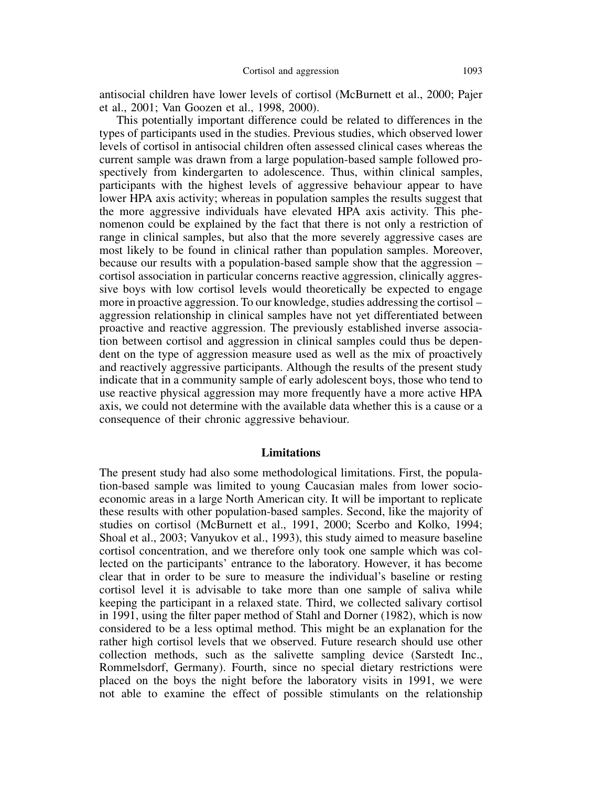antisocial children have lower levels of cortisol (McBurnett et al., 2000; Pajer et al., 2001; Van Goozen et al., 1998, 2000).

This potentially important difference could be related to differences in the types of participants used in the studies. Previous studies, which observed lower levels of cortisol in antisocial children often assessed clinical cases whereas the current sample was drawn from a large population-based sample followed prospectively from kindergarten to adolescence. Thus, within clinical samples, participants with the highest levels of aggressive behaviour appear to have lower HPA axis activity; whereas in population samples the results suggest that the more aggressive individuals have elevated HPA axis activity. This phenomenon could be explained by the fact that there is not only a restriction of range in clinical samples, but also that the more severely aggressive cases are most likely to be found in clinical rather than population samples. Moreover, because our results with a population-based sample show that the aggression – cortisol association in particular concerns reactive aggression, clinically aggressive boys with low cortisol levels would theoretically be expected to engage more in proactive aggression. To our knowledge, studies addressing the cortisol – aggression relationship in clinical samples have not yet differentiated between proactive and reactive aggression. The previously established inverse association between cortisol and aggression in clinical samples could thus be dependent on the type of aggression measure used as well as the mix of proactively and reactively aggressive participants. Although the results of the present study indicate that in a community sample of early adolescent boys, those who tend to use reactive physical aggression may more frequently have a more active HPA axis, we could not determine with the available data whether this is a cause or a consequence of their chronic aggressive behaviour.

### Limitations

The present study had also some methodological limitations. First, the population-based sample was limited to young Caucasian males from lower socioeconomic areas in a large North American city. It will be important to replicate these results with other population-based samples. Second, like the majority of studies on cortisol (McBurnett et al., 1991, 2000; Scerbo and Kolko, 1994; Shoal et al., 2003; Vanyukov et al., 1993), this study aimed to measure baseline cortisol concentration, and we therefore only took one sample which was collected on the participants' entrance to the laboratory. However, it has become clear that in order to be sure to measure the individual's baseline or resting cortisol level it is advisable to take more than one sample of saliva while keeping the participant in a relaxed state. Third, we collected salivary cortisol in 1991, using the filter paper method of Stahl and Dorner (1982), which is now considered to be a less optimal method. This might be an explanation for the rather high cortisol levels that we observed. Future research should use other collection methods, such as the salivette sampling device (Sarstedt Inc., Rommelsdorf, Germany). Fourth, since no special dietary restrictions were placed on the boys the night before the laboratory visits in 1991, we were not able to examine the effect of possible stimulants on the relationship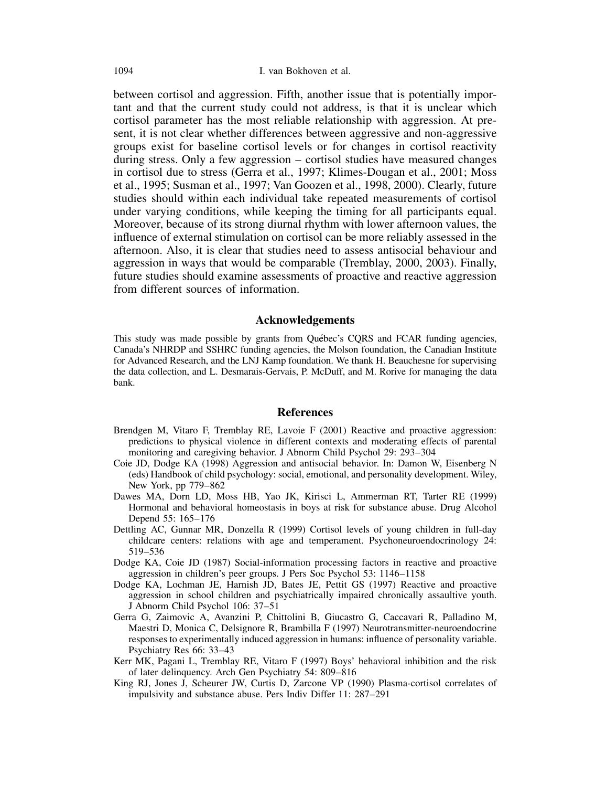between cortisol and aggression. Fifth, another issue that is potentially important and that the current study could not address, is that it is unclear which cortisol parameter has the most reliable relationship with aggression. At present, it is not clear whether differences between aggressive and non-aggressive groups exist for baseline cortisol levels or for changes in cortisol reactivity during stress. Only a few aggression – cortisol studies have measured changes in cortisol due to stress (Gerra et al., 1997; Klimes-Dougan et al., 2001; Moss et al., 1995; Susman et al., 1997; Van Goozen et al., 1998, 2000). Clearly, future studies should within each individual take repeated measurements of cortisol under varying conditions, while keeping the timing for all participants equal. Moreover, because of its strong diurnal rhythm with lower afternoon values, the influence of external stimulation on cortisol can be more reliably assessed in the afternoon. Also, it is clear that studies need to assess antisocial behaviour and aggression in ways that would be comparable (Tremblay, 2000, 2003). Finally, future studies should examine assessments of proactive and reactive aggression from different sources of information.

### Acknowledgements

This study was made possible by grants from Quebec's CQRS and FCAR funding agencies, Canada's NHRDP and SSHRC funding agencies, the Molson foundation, the Canadian Institute for Advanced Research, and the LNJ Kamp foundation. We thank H. Beauchesne for supervising the data collection, and L. Desmarais-Gervais, P. McDuff, and M. Rorive for managing the data bank.

#### References

- Brendgen M, Vitaro F, Tremblay RE, Lavoie F (2001) Reactive and proactive aggression: predictions to physical violence in different contexts and moderating effects of parental monitoring and caregiving behavior. J Abnorm Child Psychol 29: 293–304
- Coie JD, Dodge KA (1998) Aggression and antisocial behavior. In: Damon W, Eisenberg N (eds) Handbook of child psychology: social, emotional, and personality development. Wiley, New York, pp 779–862
- Dawes MA, Dorn LD, Moss HB, Yao JK, Kirisci L, Ammerman RT, Tarter RE (1999) Hormonal and behavioral homeostasis in boys at risk for substance abuse. Drug Alcohol Depend 55: 165–176
- Dettling AC, Gunnar MR, Donzella R (1999) Cortisol levels of young children in full-day childcare centers: relations with age and temperament. Psychoneuroendocrinology 24: 519–536
- Dodge KA, Coie JD (1987) Social-information processing factors in reactive and proactive aggression in children's peer groups. J Pers Soc Psychol 53: 1146–1158
- Dodge KA, Lochman JE, Harnish JD, Bates JE, Pettit GS (1997) Reactive and proactive aggression in school children and psychiatrically impaired chronically assaultive youth. J Abnorm Child Psychol 106: 37–51
- Gerra G, Zaimovic A, Avanzini P, Chittolini B, Giucastro G, Caccavari R, Palladino M, Maestri D, Monica C, Delsignore R, Brambilla F (1997) Neurotransmitter-neuroendocrine responses to experimentally induced aggression in humans: influence of personality variable. Psychiatry Res 66: 33–43
- Kerr MK, Pagani L, Tremblay RE, Vitaro F (1997) Boys' behavioral inhibition and the risk of later delinquency. Arch Gen Psychiatry 54: 809–816
- King RJ, Jones J, Scheurer JW, Curtis D, Zarcone VP (1990) Plasma-cortisol correlates of impulsivity and substance abuse. Pers Indiv Differ 11: 287–291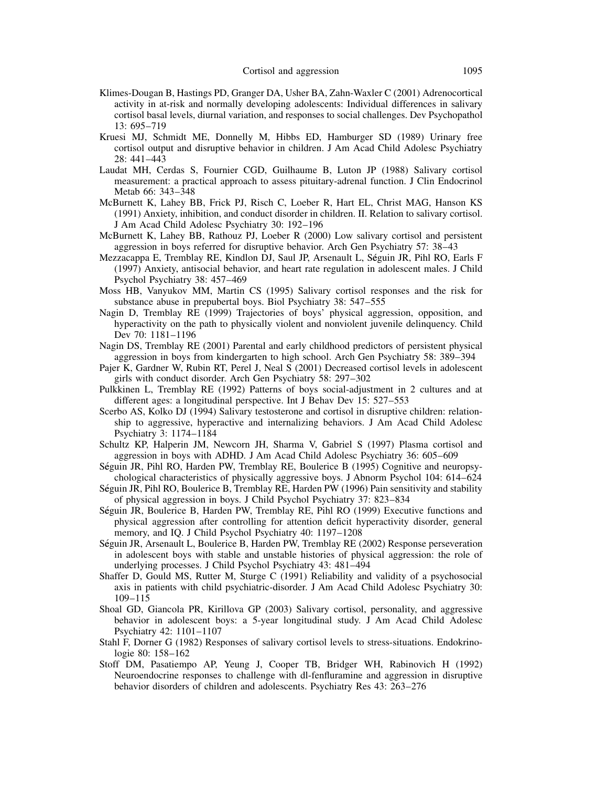- Klimes-Dougan B, Hastings PD, Granger DA, Usher BA, Zahn-Waxler C (2001) Adrenocortical activity in at-risk and normally developing adolescents: Individual differences in salivary cortisol basal levels, diurnal variation, and responses to social challenges. Dev Psychopathol 13: 695–719
- Kruesi MJ, Schmidt ME, Donnelly M, Hibbs ED, Hamburger SD (1989) Urinary free cortisol output and disruptive behavior in children. J Am Acad Child Adolesc Psychiatry 28: 441–443
- Laudat MH, Cerdas S, Fournier CGD, Guilhaume B, Luton JP (1988) Salivary cortisol measurement: a practical approach to assess pituitary-adrenal function. J Clin Endocrinol Metab 66: 343–348
- McBurnett K, Lahey BB, Frick PJ, Risch C, Loeber R, Hart EL, Christ MAG, Hanson KS (1991) Anxiety, inhibition, and conduct disorder in children. II. Relation to salivary cortisol. J Am Acad Child Adolesc Psychiatry 30: 192–196
- McBurnett K, Lahey BB, Rathouz PJ, Loeber R (2000) Low salivary cortisol and persistent aggression in boys referred for disruptive behavior. Arch Gen Psychiatry 57: 38–43
- Mezzacappa E, Tremblay RE, Kindlon DJ, Saul JP, Arsenault L, Seguin JR, Pihl RO, Earls F (1997) Anxiety, antisocial behavior, and heart rate regulation in adolescent males. J Child Psychol Psychiatry 38: 457–469
- Moss HB, Vanyukov MM, Martin CS (1995) Salivary cortisol responses and the risk for substance abuse in prepubertal boys. Biol Psychiatry 38: 547–555
- Nagin D, Tremblay RE (1999) Trajectories of boys' physical aggression, opposition, and hyperactivity on the path to physically violent and nonviolent juvenile delinquency. Child Dev 70: 1181–1196
- Nagin DS, Tremblay RE (2001) Parental and early childhood predictors of persistent physical aggression in boys from kindergarten to high school. Arch Gen Psychiatry 58: 389–394
- Pajer K, Gardner W, Rubin RT, Perel J, Neal S (2001) Decreased cortisol levels in adolescent girls with conduct disorder. Arch Gen Psychiatry 58: 297–302
- Pulkkinen L, Tremblay RE (1992) Patterns of boys social-adjustment in 2 cultures and at different ages: a longitudinal perspective. Int J Behav Dev 15: 527–553
- Scerbo AS, Kolko DJ (1994) Salivary testosterone and cortisol in disruptive children: relationship to aggressive, hyperactive and internalizing behaviors. J Am Acad Child Adolesc Psychiatry 3: 1174–1184
- Schultz KP, Halperin JM, Newcorn JH, Sharma V, Gabriel S (1997) Plasma cortisol and aggression in boys with ADHD. J Am Acad Child Adolesc Psychiatry 36: 605–609
- Seguin JR, Pihl RO, Harden PW, Tremblay RE, Boulerice B (1995) Cognitive and neuropsychological characteristics of physically aggressive boys. J Abnorm Psychol 104: 614–624
- Seguin JR, Pihl RO, Boulerice B, Tremblay RE, Harden PW (1996) Pain sensitivity and stability of physical aggression in boys. J Child Psychol Psychiatry 37: 823–834
- Seguin JR, Boulerice B, Harden PW, Tremblay RE, Pihl RO (1999) Executive functions and physical aggression after controlling for attention deficit hyperactivity disorder, general memory, and IQ. J Child Psychol Psychiatry 40: 1197–1208
- Seguin JR, Arsenault L, Boulerice B, Harden PW, Tremblay RE (2002) Response perseveration in adolescent boys with stable and unstable histories of physical aggression: the role of underlying processes. J Child Psychol Psychiatry 43: 481–494
- Shaffer D, Gould MS, Rutter M, Sturge C (1991) Reliability and validity of a psychosocial axis in patients with child psychiatric-disorder. J Am Acad Child Adolesc Psychiatry 30: 109–115
- Shoal GD, Giancola PR, Kirillova GP (2003) Salivary cortisol, personality, and aggressive behavior in adolescent boys: a 5-year longitudinal study. J Am Acad Child Adolesc Psychiatry 42: 1101–1107
- Stahl F, Dorner G (1982) Responses of salivary cortisol levels to stress-situations. Endokrinologie 80: 158–162
- Stoff DM, Pasatiempo AP, Yeung J, Cooper TB, Bridger WH, Rabinovich H (1992) Neuroendocrine responses to challenge with dl-fenfluramine and aggression in disruptive behavior disorders of children and adolescents. Psychiatry Res 43: 263–276